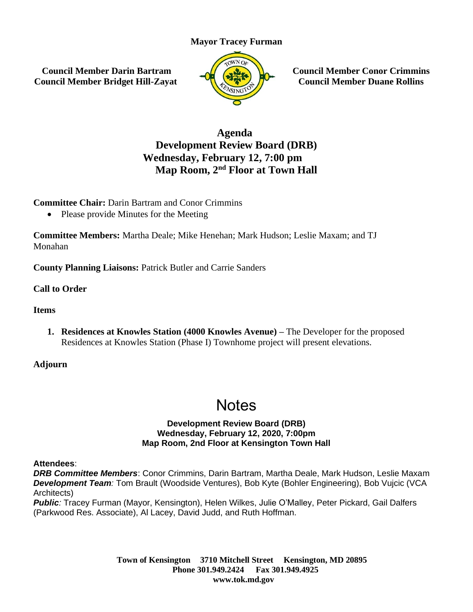### **Mayor Tracey Furman**

**Council Member Darin Bartram Council Member Bridget Hill-Zayat**



**Council Member Conor Crimmins Council Member Duane Rollins**

## **Agenda Development Review Board (DRB) Wednesday, February 12, 7:00 pm Map Room, 2nd Floor at Town Hall**

**Committee Chair:** Darin Bartram and Conor Crimmins

• Please provide Minutes for the Meeting

**Committee Members:** Martha Deale; Mike Henehan; Mark Hudson; Leslie Maxam; and TJ Monahan

**County Planning Liaisons:** Patrick Butler and Carrie Sanders

**Call to Order**

#### **Items**

**1. Residences at Knowles Station (4000 Knowles Avenue) –** The Developer for the proposed Residences at Knowles Station (Phase I) Townhome project will present elevations.

**Adjourn**

# **Notes**

#### **Development Review Board (DRB) Wednesday, February 12, 2020, 7:00pm Map Room, 2nd Floor at Kensington Town Hall**

**Attendees**:

*DRB Committee Members*: Conor Crimmins, Darin Bartram, Martha Deale, Mark Hudson, Leslie Maxam *Development Team:* Tom Brault (Woodside Ventures), Bob Kyte (Bohler Engineering), Bob Vujcic (VCA Architects)

*Public:* Tracey Furman (Mayor, Kensington), Helen Wilkes, Julie O'Malley, Peter Pickard, Gail Dalfers (Parkwood Res. Associate), Al Lacey, David Judd, and Ruth Hoffman.

> **Town of Kensington 3710 Mitchell Street Kensington, MD 20895 Phone 301.949.2424 Fax 301.949.4925 www.tok.md.gov**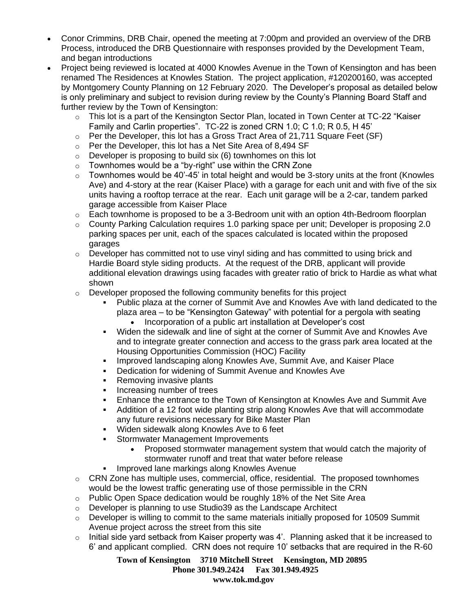- Conor Crimmins, DRB Chair, opened the meeting at 7:00pm and provided an overview of the DRB Process, introduced the DRB Questionnaire with responses provided by the Development Team, and began introductions
- Project being reviewed is located at 4000 Knowles Avenue in the Town of Kensington and has been renamed The Residences at Knowles Station. The project application, #120200160, was accepted by Montgomery County Planning on 12 February 2020. The Developer's proposal as detailed below is only preliminary and subject to revision during review by the County's Planning Board Staff and further review by the Town of Kensington:
	- $\circ$  This lot is a part of the Kensington Sector Plan, located in Town Center at TC-22 "Kaiser Family and Carlin properties". TC-22 is zoned CRN 1.0; C 1.0; R 0.5, H 45'
	- $\circ$  Per the Developer, this lot has a Gross Tract Area of 21,711 Square Feet (SF)
	- o Per the Developer, this lot has a Net Site Area of 8,494 SF
	- $\circ$  Developer is proposing to build six (6) townhomes on this lot
	- $\circ$  Townhomes would be a "by-right" use within the CRN Zone
	- $\circ$  Townhomes would be 40'-45' in total height and would be 3-story units at the front (Knowles Ave) and 4-story at the rear (Kaiser Place) with a garage for each unit and with five of the six units having a rooftop terrace at the rear. Each unit garage will be a 2-car, tandem parked garage accessible from Kaiser Place
	- $\circ$  Each townhome is proposed to be a 3-Bedroom unit with an option 4th-Bedroom floorplan
	- $\circ$  County Parking Calculation requires 1.0 parking space per unit; Developer is proposing 2.0 parking spaces per unit, each of the spaces calculated is located within the proposed garages
	- $\circ$  Developer has committed not to use vinyl siding and has committed to using brick and Hardie Board style siding products. At the request of the DRB, applicant will provide additional elevation drawings using facades with greater ratio of brick to Hardie as what what shown
	- o Developer proposed the following community benefits for this project
		- Public plaza at the corner of Summit Ave and Knowles Ave with land dedicated to the plaza area – to be "Kensington Gateway" with potential for a pergola with seating
			- Incorporation of a public art installation at Developer's cost
		- Widen the sidewalk and line of sight at the corner of Summit Ave and Knowles Ave and to integrate greater connection and access to the grass park area located at the Housing Opportunities Commission (HOC) Facility
		- **Improved landscaping along Knowles Ave, Summit Ave, and Kaiser Place**
		- Dedication for widening of Summit Avenue and Knowles Ave
		- Removing invasive plants
		- Increasing number of trees
		- Enhance the entrance to the Town of Kensington at Knowles Ave and Summit Ave
		- Addition of a 12 foot wide planting strip along Knowles Ave that will accommodate any future revisions necessary for Bike Master Plan
		- Widen sidewalk along Knowles Ave to 6 feet
		- **Stormwater Management Improvements** 
			- Proposed stormwater management system that would catch the majority of stormwater runoff and treat that water before release
		- **Improved lane markings along Knowles Avenue**
	- $\circ$  CRN Zone has multiple uses, commercial, office, residential. The proposed townhomes would be the lowest traffic generating use of those permissible in the CRN
	- $\circ$  Public Open Space dedication would be roughly 18% of the Net Site Area
	- o Developer is planning to use Studio39 as the Landscape Architect
	- $\circ$  Developer is willing to commit to the same materials initially proposed for 10509 Summit Avenue project across the street from this site
	- $\circ$  Initial side yard setback from Kaiser property was 4'. Planning asked that it be increased to 6' and applicant complied. CRN does not require 10' setbacks that are required in the R-60

**Town of Kensington 3710 Mitchell Street Kensington, MD 20895 Phone 301.949.2424 Fax 301.949.4925 www.tok.md.gov**